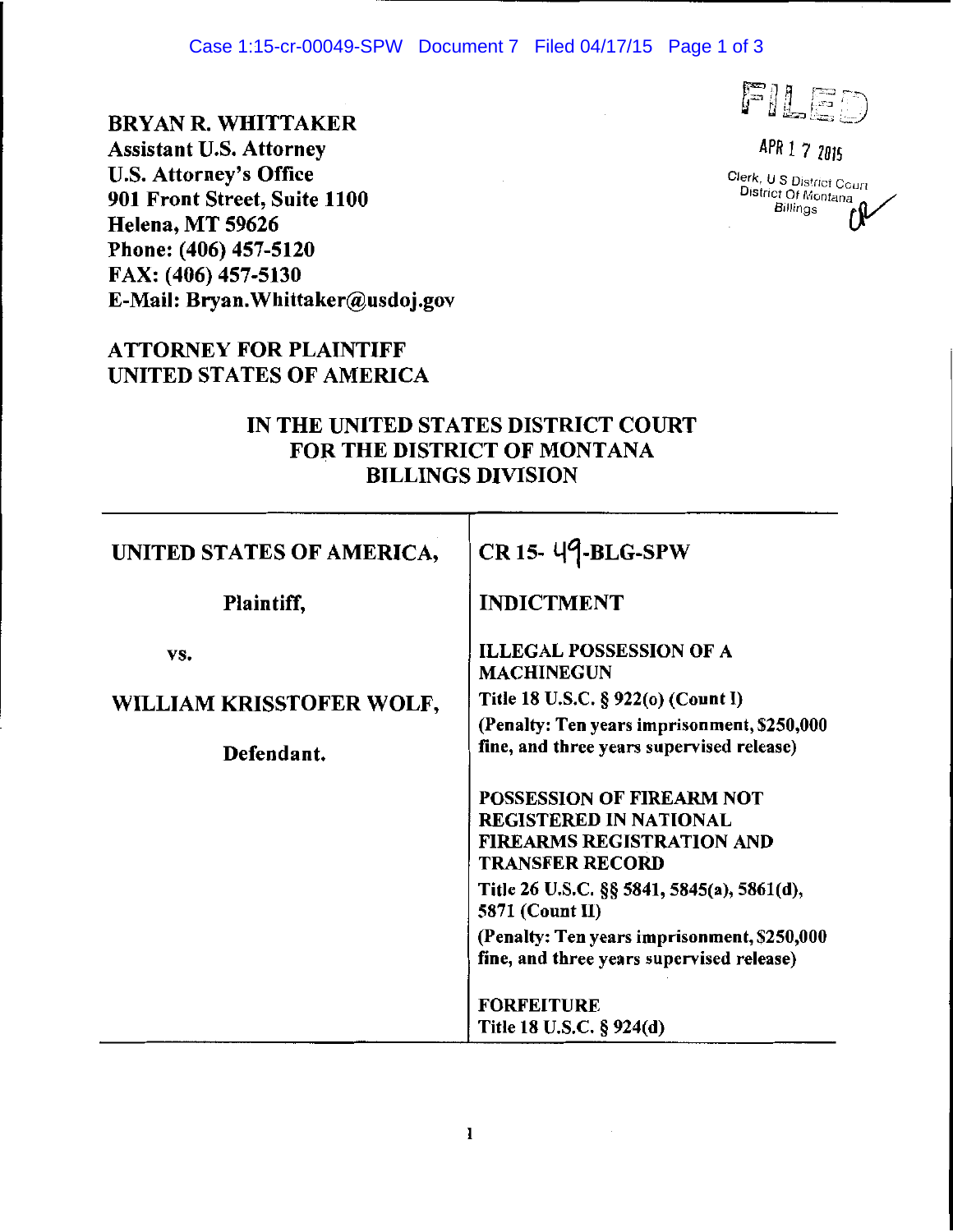#### Case 1:15-cr-00049-SPW Document 7 Filed 04/17/15 Page 1 of 3

# BRYAN R. WHITTAKER

FILED

*APR I* 7 *<sup>1015</sup>* Clerk, U S District Court District Of Montana $\sim$ **Billings U** 

Assistant U.S. Attorney U.S. Attorney's Office 901 Front Street, Suite 1100 Helena, MT 59626 Phone: (406) 457-5120 FAX: (406) 457-5130 E-Mail: Bryan.Whittaker@usdoj.gov

# ATTORNEY FOR PLAINTIFF UNITED STATES OF AMERICA

### JN THE UNITED STATES DISTRICT COURT FOR THE DISTRICT OF MONTANA BILLINGS DIVISION

| UNITED STATES OF AMERICA, | CR 15- 49-BLG-SPW                                                                                                        |
|---------------------------|--------------------------------------------------------------------------------------------------------------------------|
| Plaintiff,                | <b>INDICTMENT</b>                                                                                                        |
| VS.                       | <b>ILLEGAL POSSESSION OF A</b><br><b>MACHINEGUN</b>                                                                      |
| WILLIAM KRISSTOFER WOLF,  | Title 18 U.S.C. § 922(0) (Count I)                                                                                       |
| Defendant.                | (Penalty: Ten years imprisonment, \$250,000<br>fine, and three years supervised release)                                 |
|                           | POSSESSION OF FIREARM NOT<br><b>REGISTERED IN NATIONAL</b><br><b>FIREARMS REGISTRATION AND</b><br><b>TRANSFER RECORD</b> |
|                           | Title 26 U.S.C. §§ 5841, 5845(a), 5861(d),<br>5871 (Count II)                                                            |
|                           | (Penalty: Ten years imprisonment, \$250,000<br>fine, and three years supervised release)                                 |
|                           | <b>FORFEITURE</b><br>Title 18 U.S.C. § 924(d)                                                                            |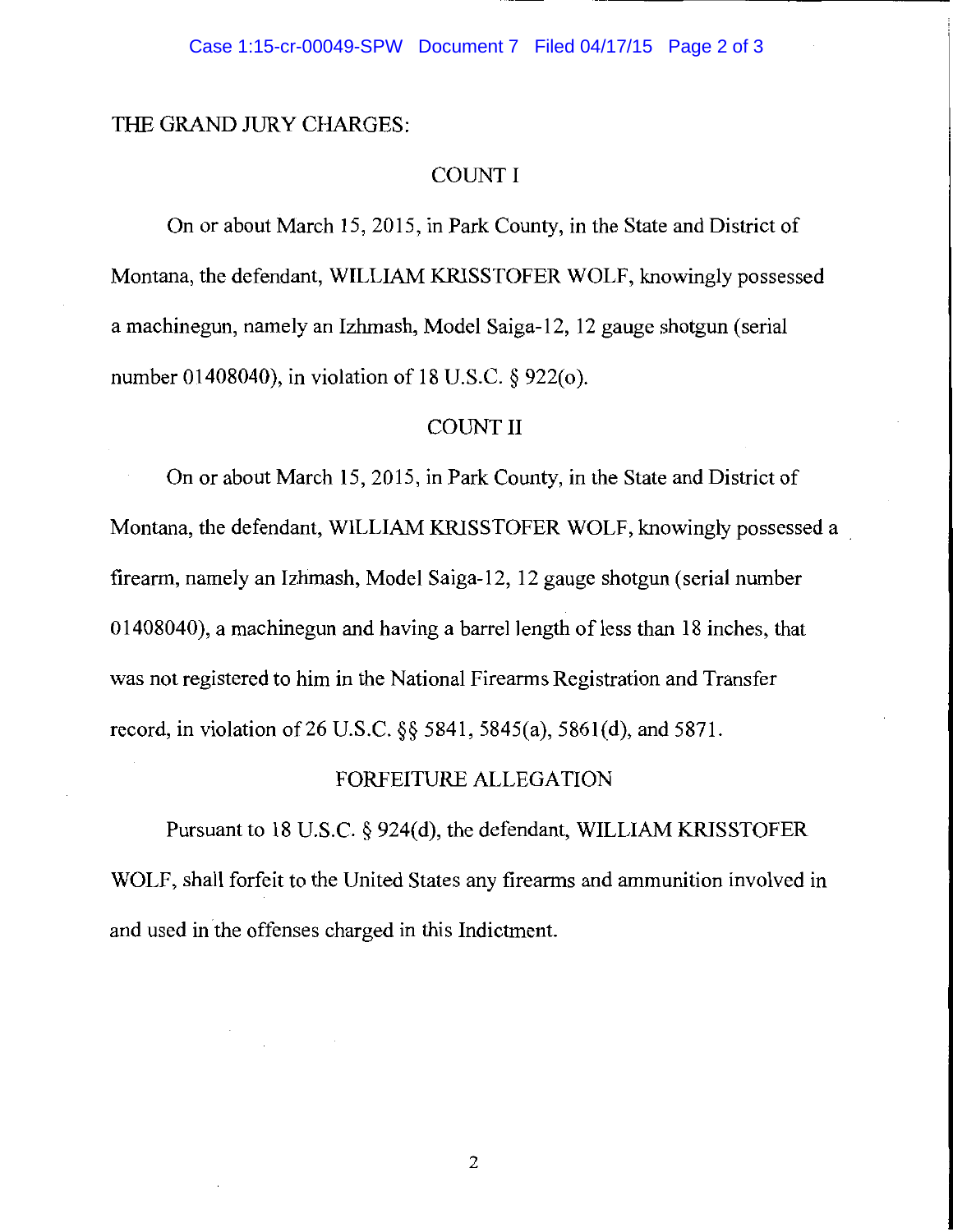### THE GRAND JURY CHARGES:

## COUNT I

On or about March 15, 2015, in Park County, in the State and District of Montana, the defendant, WILLIAM KRISSTOFER WOLF, knowingly possessed a machinegun, namely an Izhmash, Model Saiga-12, 12 gauge shotgun (serial number 01408040), in violation of 18 U.S.C. § 922(0).

### COUNT II

On or about March 15, 2015, in Park County, in the State and District of Montana, the defendant, WILLIAM KRISSTOFER WOLF, knowingly possessed a . firearm, namely an Izhmash, Model Saiga-12, 12 gauge shotgun (serial number 01408040), a machine gun and having a barrel length of less than 18 inches, that was not registered to him in the National Firearms Registration and Transfer record, in violation of26 U.S.C. §§ 5841, 5845(a), 5861(d), and 5871.

#### FORFEITURE ALLEGATION

Pursuant to 18 U.S.C. § 924(d), the defendant, WILLIAM KRISSTOFER WOLF, shall forfeit to the United States any firearms and ammunition involved in and used in the offenses charged in this Indictment.